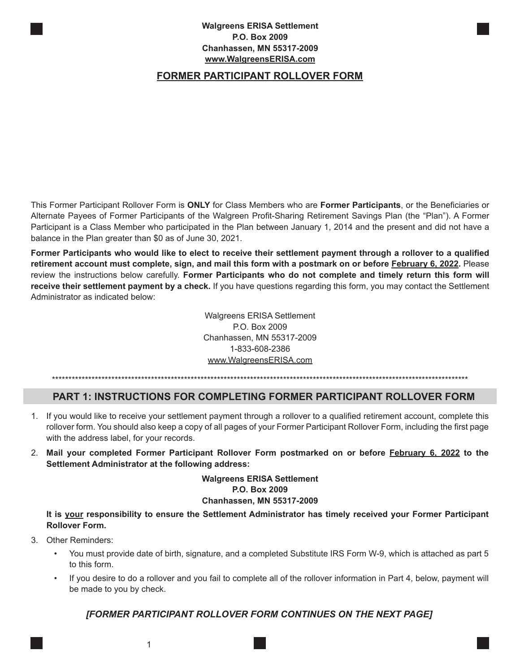#### **Walgreens ERISA Settlement P.O. Box 2009 Chanhassen, MN 55317-2009 www.WalgreensERISA.com**

# **FORMER PARTICIPANT ROLLOVER FORM**

This Former Participant Rollover Form is **ONLY** for Class Members who are **Former Participants**, or the Beneficiaries or Alternate Payees of Former Participants of the Walgreen Profit-Sharing Retirement Savings Plan (the "Plan"). A Former Participant is a Class Member who participated in the Plan between January 1, 2014 and the present and did not have a balance in the Plan greater than \$0 as of June 30, 2021.

**Former Participants who would like to elect to receive their settlement payment through a rollover to a qualified retirement account must complete, sign, and mail this form with a postmark on or before February 6, 2022.** Please review the instructions below carefully. **Former Participants who do not complete and timely return this form will receive their settlement payment by a check.** If you have questions regarding this form, you may contact the Settlement Administrator as indicated below:

> Walgreens ERISA Settlement P.O. Box 2009 Chanhassen, MN 55317-2009 1-833-608-2386 www.WalgreensERISA.com

\*\*\*\*\*\*\*\*\*\*\*\*\*\*\*\*\*\*\*\*\*\*\*\*\*\*\*\*\*\*\*\*\*\*\*\*\*\*\*\*\*\*\*\*\*\*\*\*\*\*\*\*\*\*\*\*\*\*\*\*\*\*\*\*\*\*\*\*\*\*\*\*\*\*\*\*\*\*\*\*\*\*\*\*\*\*\*\*\*\*\*\*\*\*\*\*\*\*\*\*\*\*\*\*\*\*\*\*\*\*\*\*\*\*\*\*\*\*\*\*\*\*\*\*\*\*

### **PART 1: INSTRUCTIONS FOR COMPLETING FORMER PARTICIPANT ROLLOVER FORM**

- 1. If you would like to receive your settlement payment through a rollover to a qualified retirement account, complete this rollover form. You should also keep a copy of all pages of your Former Participant Rollover Form, including the first page with the address label, for your records.
- 2. **Mail your completed Former Participant Rollover Form postmarked on or before February 6, 2022 to the Settlement Administrator at the following address:**

**Walgreens ERISA Settlement P.O. Box 2009 Chanhassen, MN 55317-2009**

**It is your responsibility to ensure the Settlement Administrator has timely received your Former Participant Rollover Form.**

- 3. Other Reminders:
	- You must provide date of birth, signature, and a completed Substitute IRS Form W-9, which is attached as part 5 to this form.
	- If you desire to do a rollover and you fail to complete all of the rollover information in Part 4, below, payment will be made to you by check.

### *[FORMER PARTICIPANT ROLLOVER FORM CONTINUES ON THE NEXT PAGE]*

1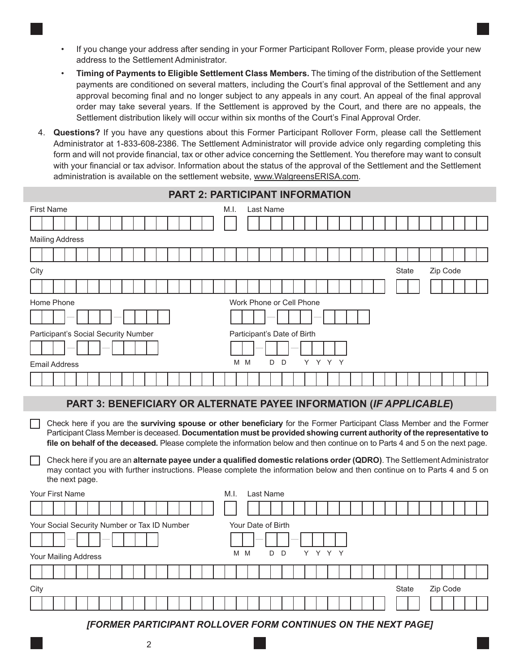- If you change your address after sending in your Former Participant Rollover Form, please provide your new address to the Settlement Administrator.
- **Timing of Payments to Eligible Settlement Class Members.** The timing of the distribution of the Settlement payments are conditioned on several matters, including the Court's final approval of the Settlement and any approval becoming final and no longer subject to any appeals in any court. An appeal of the final approval order may take several years. If the Settlement is approved by the Court, and there are no appeals, the Settlement distribution likely will occur within six months of the Court's Final Approval Order.
- 4. **Questions?** If you have any questions about this Former Participant Rollover Form, please call the Settlement Administrator at 1-833-608-2386. The Settlement Administrator will provide advice only regarding completing this form and will not provide financial, tax or other advice concerning the Settlement. You therefore may want to consult with your financial or tax advisor. Information about the status of the approval of the Settlement and the Settlement administration is available on the settlement website, www.WalgreensERISA.com.

| PART 2: PARTICIPANT INFORMATION                                                                                                                                                                                                                                                                                                                                                    |  |  |  |  |  |  |  |  |
|------------------------------------------------------------------------------------------------------------------------------------------------------------------------------------------------------------------------------------------------------------------------------------------------------------------------------------------------------------------------------------|--|--|--|--|--|--|--|--|
| <b>First Name</b><br>Last Name<br>M.I.                                                                                                                                                                                                                                                                                                                                             |  |  |  |  |  |  |  |  |
|                                                                                                                                                                                                                                                                                                                                                                                    |  |  |  |  |  |  |  |  |
| <b>Mailing Address</b>                                                                                                                                                                                                                                                                                                                                                             |  |  |  |  |  |  |  |  |
|                                                                                                                                                                                                                                                                                                                                                                                    |  |  |  |  |  |  |  |  |
| City<br><b>State</b><br>Zip Code                                                                                                                                                                                                                                                                                                                                                   |  |  |  |  |  |  |  |  |
|                                                                                                                                                                                                                                                                                                                                                                                    |  |  |  |  |  |  |  |  |
| Home Phone<br>Work Phone or Cell Phone                                                                                                                                                                                                                                                                                                                                             |  |  |  |  |  |  |  |  |
|                                                                                                                                                                                                                                                                                                                                                                                    |  |  |  |  |  |  |  |  |
| Participant's Social Security Number<br>Participant's Date of Birth                                                                                                                                                                                                                                                                                                                |  |  |  |  |  |  |  |  |
|                                                                                                                                                                                                                                                                                                                                                                                    |  |  |  |  |  |  |  |  |
| Y Y Y Y<br>D.<br>$\mathsf{D}$<br>M M<br><b>Email Address</b>                                                                                                                                                                                                                                                                                                                       |  |  |  |  |  |  |  |  |
|                                                                                                                                                                                                                                                                                                                                                                                    |  |  |  |  |  |  |  |  |
| PART 3: BENEFICIARY OR ALTERNATE PAYEE INFORMATION (IF APPLICABLE)                                                                                                                                                                                                                                                                                                                 |  |  |  |  |  |  |  |  |
| Check here if you are the surviving spouse or other beneficiary for the Former Participant Class Member and the Former<br>Participant Class Member is deceased. Documentation must be provided showing current authority of the representative to<br>file on behalf of the deceased. Please complete the information below and then continue on to Parts 4 and 5 on the next page. |  |  |  |  |  |  |  |  |
| Check here if you are an alternate payee under a qualified domestic relations order (QDRO). The Settlement Administrator<br>may contact you with further instructions. Please complete the information below and then continue on to Parts 4 and 5 on<br>the next page.                                                                                                            |  |  |  |  |  |  |  |  |
| <b>Your First Name</b><br>M.I.<br>Last Name                                                                                                                                                                                                                                                                                                                                        |  |  |  |  |  |  |  |  |
|                                                                                                                                                                                                                                                                                                                                                                                    |  |  |  |  |  |  |  |  |

| Your Social Security Number or Tax ID Number<br>$-$<br>$\frac{1}{2} \left( \frac{1}{2} \right) \left( \frac{1}{2} \right) \left( \frac{1}{2} \right) \left( \frac{1}{2} \right) \left( \frac{1}{2} \right) \left( \frac{1}{2} \right) \left( \frac{1}{2} \right) \left( \frac{1}{2} \right) \left( \frac{1}{2} \right) \left( \frac{1}{2} \right) \left( \frac{1}{2} \right) \left( \frac{1}{2} \right) \left( \frac{1}{2} \right) \left( \frac{1}{2} \right) \left( \frac{1}{2} \right) \left( \frac{1}{2} \right) \left( \frac$ | Your Date of Birth    |                   |  |  |  |  |  |
|-----------------------------------------------------------------------------------------------------------------------------------------------------------------------------------------------------------------------------------------------------------------------------------------------------------------------------------------------------------------------------------------------------------------------------------------------------------------------------------------------------------------------------------|-----------------------|-------------------|--|--|--|--|--|
| Your Mailing Address                                                                                                                                                                                                                                                                                                                                                                                                                                                                                                              | Y Y Y Y<br>M M<br>D D |                   |  |  |  |  |  |
|                                                                                                                                                                                                                                                                                                                                                                                                                                                                                                                                   |                       |                   |  |  |  |  |  |
| City                                                                                                                                                                                                                                                                                                                                                                                                                                                                                                                              |                       | Zip Code<br>State |  |  |  |  |  |
|                                                                                                                                                                                                                                                                                                                                                                                                                                                                                                                                   |                       |                   |  |  |  |  |  |
| [FORMER PARTICIPANT ROLLOVER FORM CONTINUES ON THE NEXT PAGE]                                                                                                                                                                                                                                                                                                                                                                                                                                                                     |                       |                   |  |  |  |  |  |